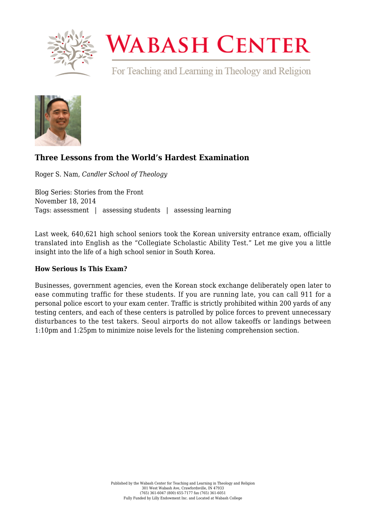

# **WABASH CENTER**

For Teaching and Learning in Theology and Religion



# **[Three Lessons from the World's Hardest Examination](https://www.wabashcenter.wabash.edu/2014/11/three-lessons-from-the-worlds-hardest-examination/)**

Roger S. Nam, *Candler School of Theology*

Blog Series: Stories from the Front November 18, 2014 Tags: assessment | assessing students | assessing learning

Last week, 640,621 high school seniors took the Korean university entrance exam, officially translated into English as the "Collegiate Scholastic Ability Test." Let me give you a little insight into the life of a high school senior in South Korea.

# **How Serious Is This Exam?**

Businesses, government agencies, even the Korean stock exchange deliberately open later to ease commuting traffic for these students. If you are running late, you can call 911 for a personal police escort to your exam center. Traffic is strictly prohibited within 200 yards of any testing centers, and each of these centers is patrolled by police forces to prevent unnecessary disturbances to the test takers. Seoul airports do not allow takeoffs or landings between 1:10pm and 1:25pm to minimize noise levels for the listening comprehension section.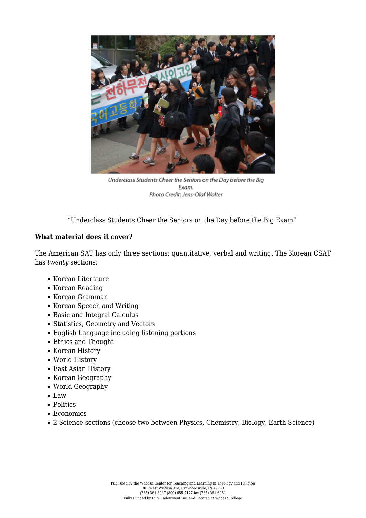

Underclass Students Cheer the Seniors on the Day before the Big Exam. Photo Credit: Jens-Olaf Walter

["Underclass Students Cheer the Seniors on the Day before the Big Exam"](https://www.flickr.com/photos/65817306@N00/6329055846/in/set-72157610285382074) 

# **What material does it cover?**

The American SAT has only three sections: quantitative, verbal and writing. The Korean CSAT has *twenty* sections:

- Korean Literature
- Korean Reading
- Korean Grammar
- Korean Speech and Writing
- Basic and Integral Calculus
- Statistics, Geometry and Vectors
- English Language including listening portions
- Ethics and Thought
- Korean History
- World History
- East Asian History
- Korean Geography
- World Geography
- $\bullet$  Law
- Politics
- Economics
- 2 Science sections (choose two between Physics, Chemistry, Biology, Earth Science)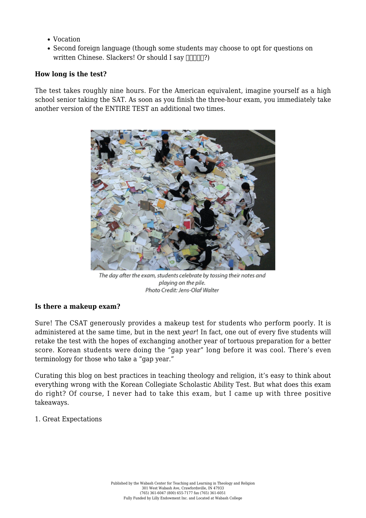- Vocation
- Second foreign language (though some students may choose to opt for questions on written Chinese. Slackers! Or should I say  $\Pi\Pi\Pi$ ?)

# **How long is the test?**

The test takes roughly nine hours. For the American equivalent, imagine yourself as a high school senior taking the SAT. As soon as you finish the three-hour exam, you immediately take another version of the ENTIRE TEST an additional two times.



The day after the exam, students celebrate by tossing their notes and playing on the pile. Photo Credit: Jens-Olaf Walter

#### **Is there a makeup exam?**

Sure! The CSAT generously provides a makeup test for students who perform poorly. It is administered at the same time, but in the next *year*! In fact, one out of every five students will retake the test with the hopes of exchanging another year of tortuous preparation for a better score. Korean students were doing the "gap year" long before it was cool. There's even terminology for those who take a ["gap year.](http://en.wikipedia.org/wiki/Jaesusaeng)"

Curating this blog on best practices in teaching theology and religion, it's easy to think about everything wrong with the Korean Collegiate Scholastic Ability Test. But what does this exam do right? Of course, I never had to take this exam, but I came up with three positive takeaways.

#### 1. Great Expectations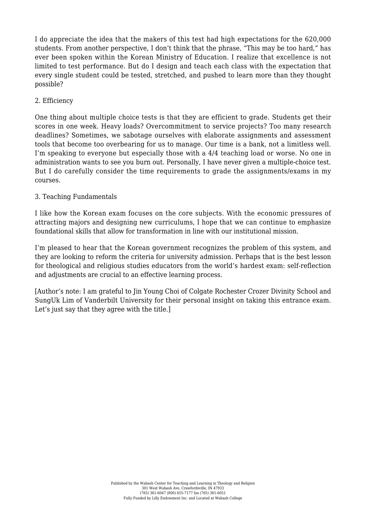I do appreciate the idea that the makers of this test had high expectations for the 620,000 students. From another perspective, I don't think that the phrase, "This may be too hard," has ever been spoken within the Korean Ministry of Education. I realize that excellence is not limited to test performance. But do I design and teach each class with the expectation that every single student could be tested, stretched, and pushed to learn more than they thought possible?

### 2. Efficiency

One thing about multiple choice tests is that they are efficient to grade. Students get their scores in one week. Heavy loads? Overcommitment to service projects? Too many research deadlines? Sometimes, we sabotage ourselves with elaborate assignments and assessment tools that become too overbearing for us to manage. Our time is a bank, not a limitless well. I'm speaking to everyone but especially those with a 4/4 teaching load or worse. No one in administration wants to see you burn out. Personally, I have never given a multiple-choice test. But I do carefully consider the time requirements to grade the assignments/exams in my courses.

#### 3. Teaching Fundamentals

I like how the Korean exam focuses on the core subjects. With the economic pressures of attracting majors and designing new curriculums, I hope that we can continue to emphasize foundational skills that allow for transformation in line with our institutional mission.

I'm pleased to hear that the Korean government recognizes the problem of this system, and they are looking to reform the criteria for university admission. Perhaps that is the best lesson for theological and religious studies educators from the world's hardest exam: self-reflection and adjustments are crucial to an effective learning process.

[Author's note: I am grateful to Jin Young Choi of Colgate Rochester Crozer Divinity School and SungUk Lim of Vanderbilt University for their personal insight on taking this entrance exam. Let's just say that they agree with the title.]